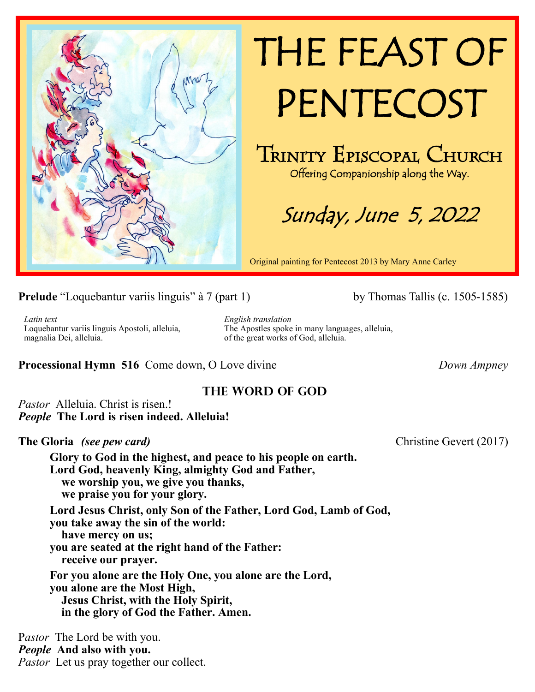

# THE FEAST OF PENTECOST

TRINITY EPISCOPAL CHURCH Offering Companionship along the Way.

Sunday, June 5, 2022

Original painting for Pentecost 2013 by Mary Anne Carley

**Prelude** "Loquebantur variis linguis" à 7 (part 1) by Thomas Tallis (c. 1505-1585)

*Latin text* Loquebantur variis linguis Apostoli, alleluia, magnalia Dei, alleluia.

*English translation* The Apostles spoke in many languages, alleluia, of the great works of God, alleluia.

**Processional Hymn 516** Come down, O Love divine*Down Ampney*

# **The Word of God**

*Pastor* Alleluia. Christ is risen.! *People* **The Lord is risen indeed. Alleluia!**

**The Gloria** *(see pew card)* Christine Gevert (2017)

**Glory to God in the highest, and peace to his people on earth. Lord God, heavenly King, almighty God and Father, we worship you, we give you thanks, we praise you for your glory. Lord Jesus Christ, only Son of the Father, Lord God, Lamb of God, you take away the sin of the world:**

 **have mercy on us; you are seated at the right hand of the Father: receive our prayer. For you alone are the Holy One, you alone are the Lord,**

**you alone are the Most High, Jesus Christ, with the Holy Spirit, in the glory of God the Father. Amen.** 

P*astor* The Lord be with you. *People* **And also with you.** *Pastor* Let us pray together our collect.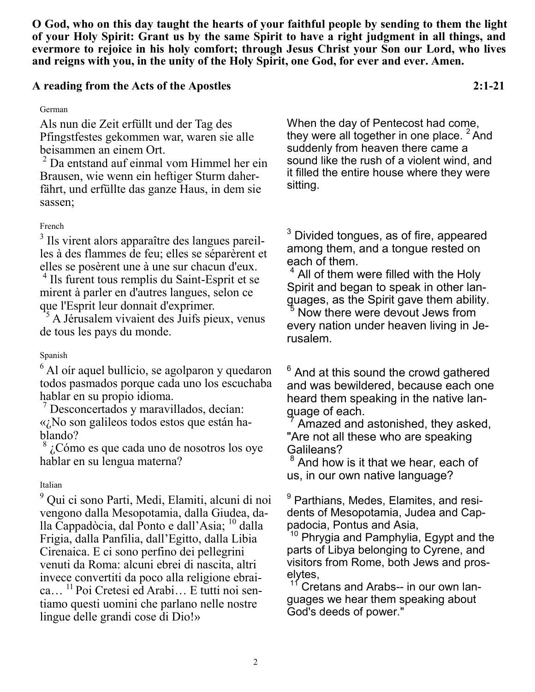**O God, who on this day taught the hearts of your faithful people by sending to them the light of your Holy Spirit: Grant us by the same Spirit to have a right judgment in all things, and evermore to rejoice in his holy comfort; through Jesus Christ your Son our Lord, who lives and reigns with you, in the unity of the Holy Spirit, one God, for ever and ever. Amen.**

# **A reading from the Acts of the Apostles 2:1-21**

German

Als nun die Zeit erfüllt und der Tag des Pfingstfestes gekommen war, waren sie alle beisammen an einem Ort.

 $2$  Da entstand auf einmal vom Himmel her ein Brausen, wie wenn ein heftiger Sturm daherfährt, und erfüllte das ganze Haus, in dem sie sassen;

#### French

<sup>3</sup> Ils virent alors apparaître des langues pareilles à des flammes de feu; elles se séparèrent et elles se posèrent une à une sur chacun d'eux.

<sup>4</sup> Ils furent tous remplis du Saint-Esprit et se mirent à parler en d'autres langues, selon ce que l'Esprit leur donnait d'exprimer.

<sup>5</sup> A Jérusalem vivaient des Juifs pieux, venus de tous les pays du monde.

#### Spanish

 $<sup>6</sup>$  Al oír aquel bullicio, se agolparon y quedaron</sup> todos pasmados porque cada uno los escuchaba hablar en su propio idioma.

<sup>7</sup> Desconcertados y maravillados, decían: «¿No son galileos todos estos que están hablando?

 $8\,$ ¿Cómo es que cada uno de nosotros los oye hablar en su lengua materna?

#### Italian

<sup>9</sup> Qui ci sono Parti, Medi, Elamiti, alcuni di noi vengono dalla Mesopotamia, dalla Giudea, dalla Cappadòcia, dal Ponto e dall'Asia; <sup>10</sup> dalla Frigia, dalla Panfilia, dall'Egitto, dalla Libia Cirenaica. E ci sono perfino dei pellegrini venuti da Roma: alcuni ebrei di nascita, altri invece convertiti da poco alla religione ebraica… <sup>11</sup> Poi Cretesi ed Arabi… E tutti noi sentiamo questi uomini che parlano nelle nostre lingue delle grandi cose di Dio!»

When the day of Pentecost had come, they were all together in one place.  $2$  And suddenly from heaven there came a sound like the rush of a violent wind, and it filled the entire house where they were sitting.

 $3$  Divided tongues, as of fire, appeared among them, and a tongue rested on each of them.

 $4$  All of them were filled with the Holy Spirit and began to speak in other languages, as the Spirit gave them ability. Now there were devout Jews from every nation under heaven living in Jerusalem.

 $6$  And at this sound the crowd gathered and was bewildered, because each one heard them speaking in the native language of each.

Amazed and astonished, they asked, "Are not all these who are speaking Galileans?

 $8$  And how is it that we hear, each of us, in our own native language?

<sup>9</sup> Parthians, Medes, Elamites, and residents of Mesopotamia, Judea and Cappadocia, Pontus and Asia,

 $10$  Phrygia and Pamphylia, Egypt and the parts of Libya belonging to Cyrene, and visitors from Rome, both Jews and proselytes,

Cretans and Arabs-- in our own languages we hear them speaking about God's deeds of power."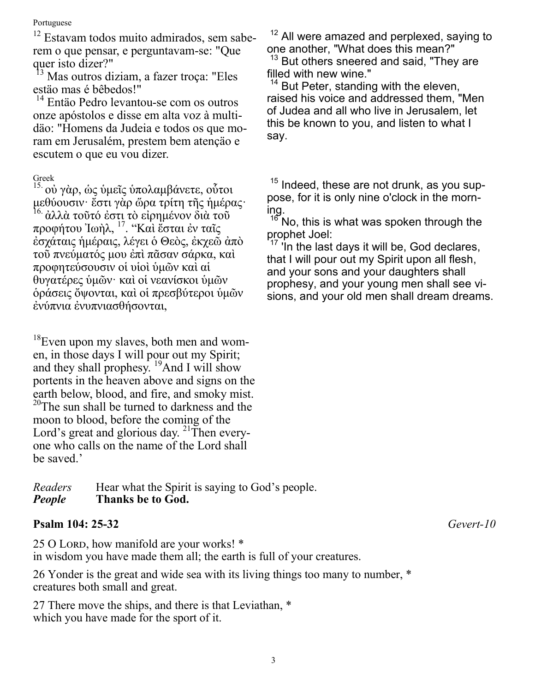#### Portuguese

 $12$  Estavam todos muito admirados, sem saberem o que pensar, e perguntavam-se: "Que quer isto dizer?"

<sup>13</sup> Mas outros diziam, a fazer troça: "Eles estäo mas é bêbedos!"

<sup>14</sup> Entäo Pedro levantou-se com os outros onze apóstolos e disse em alta voz à multidäo: "Homens da Judeia e todos os que moram em Jerusalém, prestem bem atençäo e escutem o que eu vou dizer.

#### Greek

15. οὐ γὰρ, ὡς ὑμεῖς ὑπολαμβάνετε, οὗτοι μεθύουσιν· ἔστι γὰρ ὥρα τρίτη τῆς ἡμέρας· <sup>16.</sup> ἀλλὰ τοῦτό ἐστι τὸ εἰρημένον διὰ τοῦ προφήτου Ἰωὴλ, <sup>17</sup>. ''Καὶ ἔσται ἐν ταῖς ἐσχάταις ἡμέραις, λέγει ὁ Θεὸς, ἐκχεῶ ἀπὸ τοῦ πνεύματός μου ἐπὶ πᾶσαν σάρκα, καὶ προφητεύσουσιν οἱ υἱοὶ ὑμῶν καὶ αἱ θυγατέρες ὑμῶν· καὶ οἱ νεανίσκοι ὑμῶν ὁράσεις ὄψονται, καὶ οἱ πρεσβύτεροι ὑμῶν ἐνύπνια ἐνυπνιασθήσονται,

<sup>18</sup>Even upon my slaves, both men and women, in those days I will pour out my Spirit; and they shall prophesy.  $\frac{19}{2}$ And I will show portents in the heaven above and signs on the earth below, blood, and fire, and smoky mist. <sup>20</sup>The sun shall be turned to darkness and the moon to blood, before the coming of the Lord's great and glorious day. <sup>21</sup>Then everyone who calls on the name of the Lord shall be saved.'

*Readers* Hear what the Spirit is saying to God's people. *People* **Thanks be to God.**

#### **Psalm 104: 25-32** *Gevert-10*

25 O Lord, how manifold are your works! \* in wisdom you have made them all; the earth is full of your creatures.

26 Yonder is the great and wide sea with its living things too many to number, \* creatures both small and great.

27 There move the ships, and there is that Leviathan, \* which you have made for the sport of it.

 $12$  All were amazed and perplexed, saying to one another, "What does this mean?"

 $13$  But others sneered and said, "They are filled with new wine."

But Peter, standing with the eleven, raised his voice and addressed them, "Men of Judea and all who live in Jerusalem, let this be known to you, and listen to what I say.

 $15$  Indeed, these are not drunk, as you suppose, for it is only nine o'clock in the morning.

 $16$  No, this is what was spoken through the prophet Joel:

'In the last days it will be, God declares, that I will pour out my Spirit upon all flesh, and your sons and your daughters shall prophesy, and your young men shall see visions, and your old men shall dream dreams.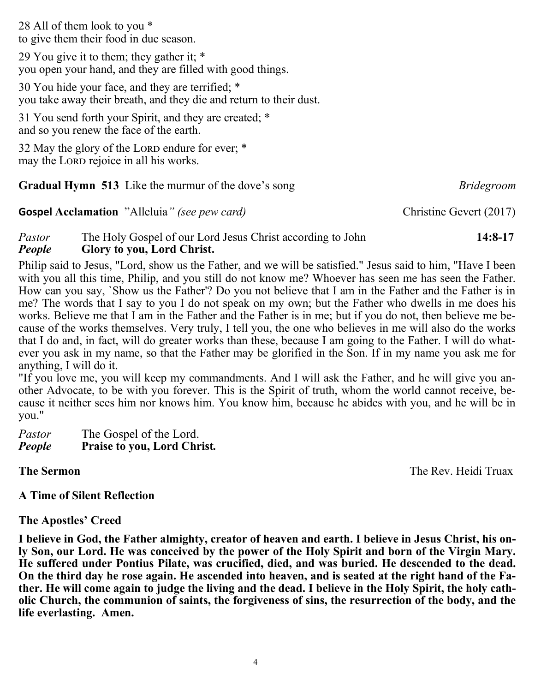28 All of them look to you \* to give them their food in due season.

29 You give it to them; they gather it; \* you open your hand, and they are filled with good things.

30 You hide your face, and they are terrified; \* you take away their breath, and they die and return to their dust.

31 You send forth your Spirit, and they are created; \* and so you renew the face of the earth.

32 May the glory of the LORD endure for ever; \* may the LORD rejoice in all his works.

| <b>Gradual Hymn 513</b> Like the murmur of the dove's song | <i>Bridegroom</i> |
|------------------------------------------------------------|-------------------|
|                                                            |                   |

# *Pastor* The Holy Gospel of our Lord Jesus Christ according to John **14:8-17** *People* **Glory to you, Lord Christ.**

**Gospel Acclamation** "Alleluia*" (see pew card)*Christine Gevert (2017)

Philip said to Jesus, "Lord, show us the Father, and we will be satisfied." Jesus said to him, "Have I been with you all this time, Philip, and you still do not know me? Whoever has seen me has seen the Father. How can you say, `Show us the Father'? Do you not believe that I am in the Father and the Father is in me? The words that I say to you I do not speak on my own; but the Father who dwells in me does his works. Believe me that I am in the Father and the Father is in me; but if you do not, then believe me because of the works themselves. Very truly, I tell you, the one who believes in me will also do the works that I do and, in fact, will do greater works than these, because I am going to the Father. I will do whatever you ask in my name, so that the Father may be glorified in the Son. If in my name you ask me for anything, I will do it.

"If you love me, you will keep my commandments. And I will ask the Father, and he will give you another Advocate, to be with you forever. This is the Spirit of truth, whom the world cannot receive, because it neither sees him nor knows him. You know him, because he abides with you, and he will be in you."

Pastor The Gospel of the Lord. *People* **Praise to you, Lord Christ***.*

**The Sermon** The Rev. Heidi Truax

# **A Time of Silent Reflection**

# **The Apostles' Creed**

**I believe in God, the Father almighty, creator of heaven and earth. I believe in Jesus Christ, his only Son, our Lord. He was conceived by the power of the Holy Spirit and born of the Virgin Mary. He suffered under Pontius Pilate, was crucified, died, and was buried. He descended to the dead. On the third day he rose again. He ascended into heaven, and is seated at the right hand of the Father. He will come again to judge the living and the dead. I believe in the Holy Spirit, the holy catholic Church, the communion of saints, the forgiveness of sins, the resurrection of the body, and the life everlasting. Amen.**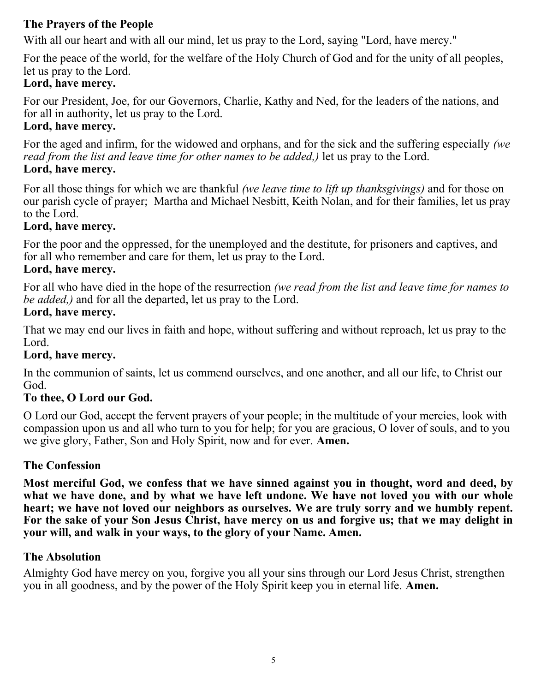# **The Prayers of the People**

With all our heart and with all our mind, let us pray to the Lord, saying "Lord, have mercy."

For the peace of the world, for the welfare of the Holy Church of God and for the unity of all peoples, let us pray to the Lord.

# **Lord, have mercy.**

For our President, Joe, for our Governors, Charlie, Kathy and Ned, for the leaders of the nations, and for all in authority, let us pray to the Lord.

# **Lord, have mercy.**

For the aged and infirm, for the widowed and orphans, and for the sick and the suffering especially *(we read from the list and leave time for other names to be added,)* let us pray to the Lord. **Lord, have mercy.**

For all those things for which we are thankful *(we leave time to lift up thanksgivings)* and for those on our parish cycle of prayer; Martha and Michael Nesbitt, Keith Nolan, and for their families, let us pray to the Lord.

# **Lord, have mercy.**

For the poor and the oppressed, for the unemployed and the destitute, for prisoners and captives, and for all who remember and care for them, let us pray to the Lord.

# **Lord, have mercy.**

For all who have died in the hope of the resurrection *(we read from the list and leave time for names to be added,)* and for all the departed, let us pray to the Lord.

# **Lord, have mercy.**

That we may end our lives in faith and hope, without suffering and without reproach, let us pray to the Lord.

# **Lord, have mercy.**

In the communion of saints, let us commend ourselves, and one another, and all our life, to Christ our God.

# **To thee, O Lord our God.**

O Lord our God, accept the fervent prayers of your people; in the multitude of your mercies, look with compassion upon us and all who turn to you for help; for you are gracious, O lover of souls, and to you we give glory, Father, Son and Holy Spirit, now and for ever. **Amen.**

# **The Confession**

**Most merciful God, we confess that we have sinned against you in thought, word and deed, by what we have done, and by what we have left undone. We have not loved you with our whole heart; we have not loved our neighbors as ourselves. We are truly sorry and we humbly repent. For the sake of your Son Jesus Christ, have mercy on us and forgive us; that we may delight in your will, and walk in your ways, to the glory of your Name. Amen.**

# **The Absolution**

Almighty God have mercy on you, forgive you all your sins through our Lord Jesus Christ, strengthen you in all goodness, and by the power of the Holy Spirit keep you in eternal life. **Amen.**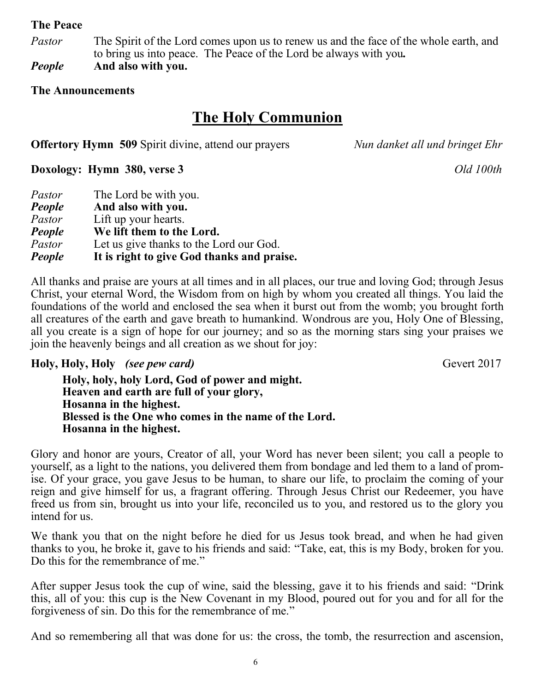#### **The Peace**

*Pastor* The Spirit of the Lord comes upon us to renew us and the face of the whole earth, and to bring us into peace. The Peace of the Lord be always with you*.*

*People* **And also with you.**

#### **The Announcements**

# **The Holy Communion**

**Offertory Hymn 509** Spirit divine, attend our prayers *Nun danket all und bringet Ehr*

**Doxology: Hymn 380, verse 3** *Old 100th*

| Pastor | The Lord be with you.                      |
|--------|--------------------------------------------|
| People | And also with you.                         |
| Pastor | Lift up your hearts.                       |
| People | We lift them to the Lord.                  |
| Pastor | Let us give thanks to the Lord our God.    |
| People | It is right to give God thanks and praise. |

All thanks and praise are yours at all times and in all places, our true and loving God; through Jesus Christ, your eternal Word, the Wisdom from on high by whom you created all things. You laid the foundations of the world and enclosed the sea when it burst out from the womb; you brought forth all creatures of the earth and gave breath to humankind. Wondrous are you, Holy One of Blessing, all you create is a sign of hope for our journey; and so as the morning stars sing your praises we join the heavenly beings and all creation as we shout for joy:

**Holy, Holy, Holy** *(see pew card)* Gevert 2017

**Holy, holy, holy Lord, God of power and might. Heaven and earth are full of your glory, Hosanna in the highest. Blessed is the One who comes in the name of the Lord. Hosanna in the highest.**

Glory and honor are yours, Creator of all, your Word has never been silent; you call a people to yourself, as a light to the nations, you delivered them from bondage and led them to a land of promise. Of your grace, you gave Jesus to be human, to share our life, to proclaim the coming of your reign and give himself for us, a fragrant offering. Through Jesus Christ our Redeemer, you have freed us from sin, brought us into your life, reconciled us to you, and restored us to the glory you intend for us.

We thank you that on the night before he died for us Jesus took bread, and when he had given thanks to you, he broke it, gave to his friends and said: "Take, eat, this is my Body, broken for you. Do this for the remembrance of me."

After supper Jesus took the cup of wine, said the blessing, gave it to his friends and said: "Drink this, all of you: this cup is the New Covenant in my Blood, poured out for you and for all for the forgiveness of sin. Do this for the remembrance of me."

And so remembering all that was done for us: the cross, the tomb, the resurrection and ascension,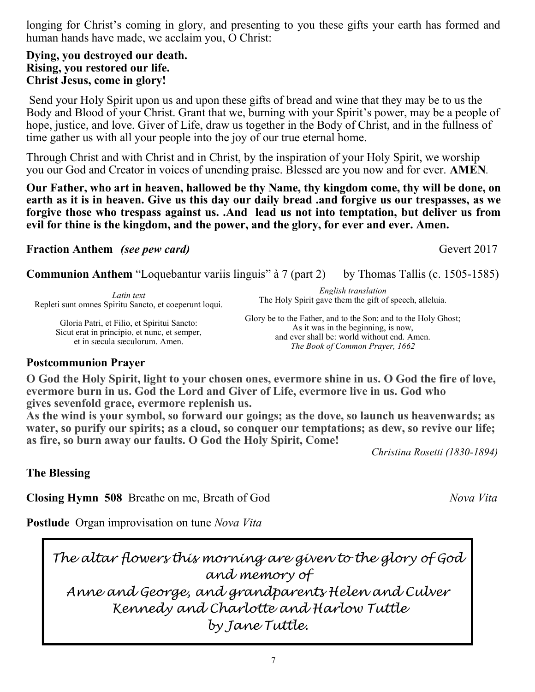longing for Christ's coming in glory, and presenting to you these gifts your earth has formed and human hands have made, we acclaim you, O Christ:

#### **Dying, you destroyed our death. Rising, you restored our life. Christ Jesus, come in glory!**

Send your Holy Spirit upon us and upon these gifts of bread and wine that they may be to us the Body and Blood of your Christ. Grant that we, burning with your Spirit's power, may be a people of hope, justice, and love. Giver of Life, draw us together in the Body of Christ, and in the fullness of time gather us with all your people into the joy of our true eternal home.

Through Christ and with Christ and in Christ, by the inspiration of your Holy Spirit, we worship you our God and Creator in voices of unending praise. Blessed are you now and for ever. **AMEN***.*

**Our Father, who art in heaven, hallowed be thy Name, thy kingdom come, thy will be done, on earth as it is in heaven. Give us this day our daily bread .and forgive us our trespasses, as we forgive those who trespass against us. .And lead us not into temptation, but deliver us from evil for thine is the kingdom, and the power, and the glory, for ever and ever. Amen.**

**Fraction Anthem** *(see pew card)* Gevert 2017

**Communion Anthem "Loquebantur variis linguis" à 7 (part 2)** by Thomas Tallis (c. 1505-1585)

*Latin text* Repleti sunt omnes Spiritu Sancto, et coeperunt loqui.

> Gloria Patri, et Filio, et Spiritui Sancto: Sicut erat in principio, et nunc, et semper, et in sæcula sæculorum. Amen.

*English translation* The Holy Spirit gave them the gift of speech, alleluia.

Glory be to the Father, and to the Son: and to the Holy Ghost; As it was in the beginning, is now, and ever shall be: world without end. Amen. *The Book of Common Prayer, 1662*

# **Postcommunion Prayer**

**O God the Holy Spirit, light to your chosen ones, evermore shine in us. O God the fire of love, evermore burn in us. God the Lord and Giver of Life, evermore live in us. God who gives sevenfold grace, evermore replenish us.**

**As the wind is your symbol, so forward our goings; as the dove, so launch us heavenwards; as water, so purify our spirits; as a cloud, so conquer our temptations; as dew, so revive our life; as fire, so burn away our faults. O God the Holy Spirit, Come!**

*Christina Rosetti (1830-1894)*

**The Blessing**

**Closing Hymn 508** Breathe on me, Breath of God*Nova Vita*

**Postlude** Organ improvisation on tune *Nova Vita*

*The altar flowers this morning are given to the glory of God and memory of Anne and George, and grandparents Helen and Culver Kennedy and Charlotte and Harlow Tuttle by Jane Tuttle.*